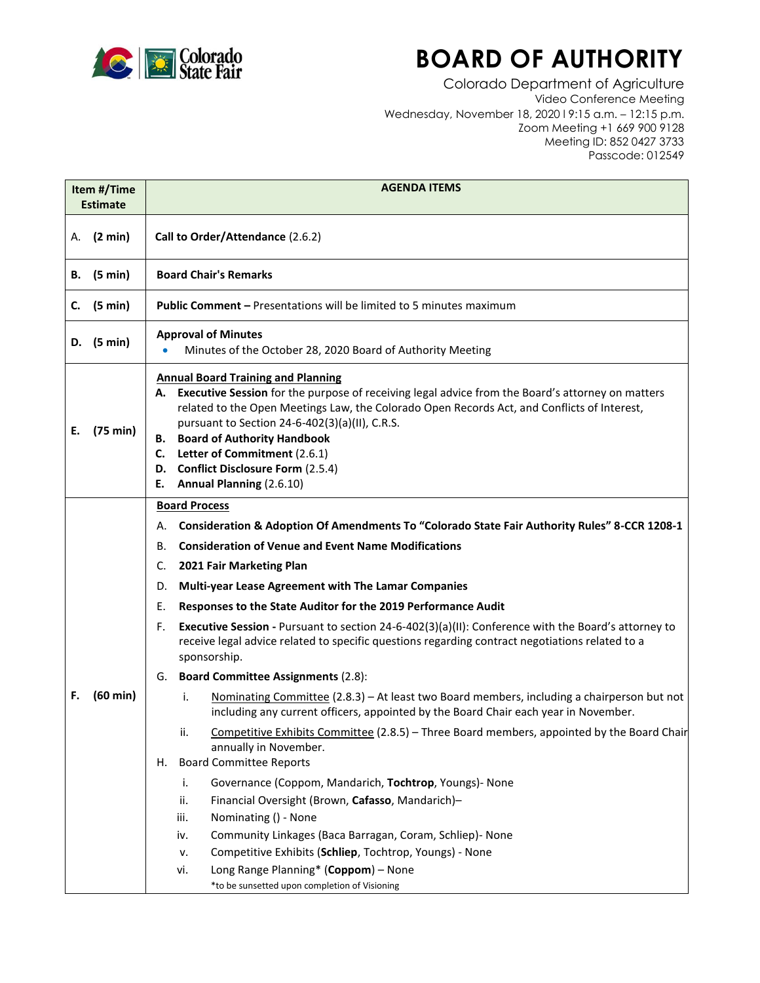

## **BOARD OF AUTHORITY**

Colorado Department of Agriculture Video Conference Meeting Wednesday, November 18, 2020 l 9:15 a.m. – 12:15 p.m. Zoom Meeting +1 669 900 9128 Meeting ID: 852 0427 3733 Passcode: 012549

| Item #/Time<br><b>Estimate</b> |              | <b>AGENDA ITEMS</b>                                                                                                                                                                                                                                                                                                                                                                                                                                                                                                                                                                                                                                                                                                                                                                                                                                                                                                                                                                                                                                                                                                                                                                                                                                                                                                                                                    |  |  |
|--------------------------------|--------------|------------------------------------------------------------------------------------------------------------------------------------------------------------------------------------------------------------------------------------------------------------------------------------------------------------------------------------------------------------------------------------------------------------------------------------------------------------------------------------------------------------------------------------------------------------------------------------------------------------------------------------------------------------------------------------------------------------------------------------------------------------------------------------------------------------------------------------------------------------------------------------------------------------------------------------------------------------------------------------------------------------------------------------------------------------------------------------------------------------------------------------------------------------------------------------------------------------------------------------------------------------------------------------------------------------------------------------------------------------------------|--|--|
| (2 min)<br>А.                  |              | Call to Order/Attendance (2.6.2)                                                                                                                                                                                                                                                                                                                                                                                                                                                                                                                                                                                                                                                                                                                                                                                                                                                                                                                                                                                                                                                                                                                                                                                                                                                                                                                                       |  |  |
| В.                             | (5 min)      | <b>Board Chair's Remarks</b>                                                                                                                                                                                                                                                                                                                                                                                                                                                                                                                                                                                                                                                                                                                                                                                                                                                                                                                                                                                                                                                                                                                                                                                                                                                                                                                                           |  |  |
| C.                             | (5 min)      | <b>Public Comment - Presentations will be limited to 5 minutes maximum</b>                                                                                                                                                                                                                                                                                                                                                                                                                                                                                                                                                                                                                                                                                                                                                                                                                                                                                                                                                                                                                                                                                                                                                                                                                                                                                             |  |  |
|                                | D. $(5 min)$ | <b>Approval of Minutes</b><br>Minutes of the October 28, 2020 Board of Authority Meeting<br>$\bullet$                                                                                                                                                                                                                                                                                                                                                                                                                                                                                                                                                                                                                                                                                                                                                                                                                                                                                                                                                                                                                                                                                                                                                                                                                                                                  |  |  |
| Е.                             | (75 min)     | <b>Annual Board Training and Planning</b><br>A. Executive Session for the purpose of receiving legal advice from the Board's attorney on matters<br>related to the Open Meetings Law, the Colorado Open Records Act, and Conflicts of Interest,<br>pursuant to Section 24-6-402(3)(a)(II), C.R.S.<br><b>B.</b> Board of Authority Handbook<br>Letter of Commitment (2.6.1)<br>C.<br>D. Conflict Disclosure Form (2.5.4)<br>Annual Planning (2.6.10)<br>Е.                                                                                                                                                                                                                                                                                                                                                                                                                                                                                                                                                                                                                                                                                                                                                                                                                                                                                                              |  |  |
| F.                             | (60 min)     | <b>Board Process</b><br>Consideration & Adoption Of Amendments To "Colorado State Fair Authority Rules" 8-CCR 1208-1<br>А.<br><b>Consideration of Venue and Event Name Modifications</b><br>В.<br>2021 Fair Marketing Plan<br>C.<br>Multi-year Lease Agreement with The Lamar Companies<br>D.<br>Responses to the State Auditor for the 2019 Performance Audit<br>Е.<br>Executive Session - Pursuant to section 24-6-402(3)(a)(II): Conference with the Board's attorney to<br>F.<br>receive legal advice related to specific questions regarding contract negotiations related to a<br>sponsorship.<br><b>Board Committee Assignments (2.8):</b><br>G.<br>i.<br>Nominating Committee (2.8.3) - At least two Board members, including a chairperson but not<br>including any current officers, appointed by the Board Chair each year in November.<br>Competitive Exhibits Committee (2.8.5) - Three Board members, appointed by the Board Chair<br>ii.<br>annually in November.<br><b>Board Committee Reports</b><br>Н.<br>i.<br>Governance (Coppom, Mandarich, Tochtrop, Youngs)- None<br>Financial Oversight (Brown, Cafasso, Mandarich)-<br>ii.<br>iii.<br>Nominating () - None<br>Community Linkages (Baca Barragan, Coram, Schliep)- None<br>iv.<br>Competitive Exhibits (Schliep, Tochtrop, Youngs) - None<br>٧.<br>Long Range Planning* (Coppom) - None<br>vi. |  |  |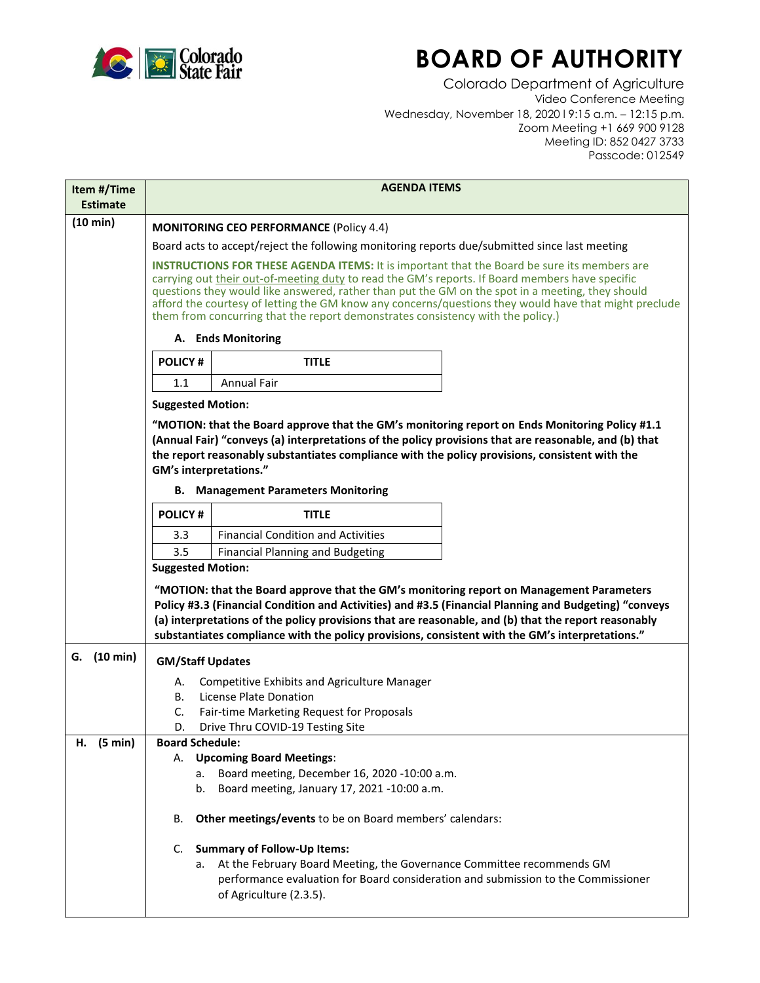

## **BOARD OF AUTHORITY**

Colorado Department of Agriculture Video Conference Meeting Wednesday, November 18, 2020 l 9:15 a.m. – 12:15 p.m. Zoom Meeting +1 669 900 9128 Meeting ID: 852 0427 3733 Passcode: 012549

| Item #/Time<br><b>Estimate</b> | <b>AGENDA ITEMS</b>                                                                                                                                                                                                                                                                                                                                                                                                                                                                                   |                                                                                                                                                                                                                                                                                                           |                                                                                                       |  |  |
|--------------------------------|-------------------------------------------------------------------------------------------------------------------------------------------------------------------------------------------------------------------------------------------------------------------------------------------------------------------------------------------------------------------------------------------------------------------------------------------------------------------------------------------------------|-----------------------------------------------------------------------------------------------------------------------------------------------------------------------------------------------------------------------------------------------------------------------------------------------------------|-------------------------------------------------------------------------------------------------------|--|--|
| (10 min)                       | <b>MONITORING CEO PERFORMANCE (Policy 4.4)</b>                                                                                                                                                                                                                                                                                                                                                                                                                                                        |                                                                                                                                                                                                                                                                                                           |                                                                                                       |  |  |
|                                | Board acts to accept/reject the following monitoring reports due/submitted since last meeting                                                                                                                                                                                                                                                                                                                                                                                                         |                                                                                                                                                                                                                                                                                                           |                                                                                                       |  |  |
|                                | <b>INSTRUCTIONS FOR THESE AGENDA ITEMS:</b> It is important that the Board be sure its members are<br>carrying out their out-of-meeting duty to read the GM's reports. If Board members have specific<br>questions they would like answered, rather than put the GM on the spot in a meeting, they should<br>afford the courtesy of letting the GM know any concerns/questions they would have that might preclude<br>them from concurring that the report demonstrates consistency with the policy.) |                                                                                                                                                                                                                                                                                                           |                                                                                                       |  |  |
|                                | A. Ends Monitoring                                                                                                                                                                                                                                                                                                                                                                                                                                                                                    |                                                                                                                                                                                                                                                                                                           |                                                                                                       |  |  |
|                                | <b>POLICY#</b>                                                                                                                                                                                                                                                                                                                                                                                                                                                                                        | <b>TITLE</b>                                                                                                                                                                                                                                                                                              |                                                                                                       |  |  |
|                                | 1.1                                                                                                                                                                                                                                                                                                                                                                                                                                                                                                   | <b>Annual Fair</b>                                                                                                                                                                                                                                                                                        |                                                                                                       |  |  |
|                                | <b>Suggested Motion:</b>                                                                                                                                                                                                                                                                                                                                                                                                                                                                              |                                                                                                                                                                                                                                                                                                           |                                                                                                       |  |  |
|                                | <b>GM's interpretations."</b>                                                                                                                                                                                                                                                                                                                                                                                                                                                                         | "MOTION: that the Board approve that the GM's monitoring report on Ends Monitoring Policy #1.1<br>(Annual Fair) "conveys (a) interpretations of the policy provisions that are reasonable, and (b) that<br>the report reasonably substantiates compliance with the policy provisions, consistent with the |                                                                                                       |  |  |
|                                |                                                                                                                                                                                                                                                                                                                                                                                                                                                                                                       | <b>B.</b> Management Parameters Monitoring                                                                                                                                                                                                                                                                |                                                                                                       |  |  |
|                                | <b>POLICY#</b>                                                                                                                                                                                                                                                                                                                                                                                                                                                                                        | <b>TITLE</b>                                                                                                                                                                                                                                                                                              |                                                                                                       |  |  |
|                                | 3.3                                                                                                                                                                                                                                                                                                                                                                                                                                                                                                   | <b>Financial Condition and Activities</b>                                                                                                                                                                                                                                                                 |                                                                                                       |  |  |
|                                | 3.5<br><b>Suggested Motion:</b>                                                                                                                                                                                                                                                                                                                                                                                                                                                                       | <b>Financial Planning and Budgeting</b>                                                                                                                                                                                                                                                                   |                                                                                                       |  |  |
|                                |                                                                                                                                                                                                                                                                                                                                                                                                                                                                                                       | "MOTION: that the Board approve that the GM's monitoring report on Management Parameters<br>(a) interpretations of the policy provisions that are reasonable, and (b) that the report reasonably<br>substantiates compliance with the policy provisions, consistent with the GM's interpretations."       | Policy #3.3 (Financial Condition and Activities) and #3.5 (Financial Planning and Budgeting) "conveys |  |  |
| G. (10 min)                    | <b>GM/Staff Updates</b>                                                                                                                                                                                                                                                                                                                                                                                                                                                                               |                                                                                                                                                                                                                                                                                                           |                                                                                                       |  |  |
|                                | А.                                                                                                                                                                                                                                                                                                                                                                                                                                                                                                    | Competitive Exhibits and Agriculture Manager                                                                                                                                                                                                                                                              |                                                                                                       |  |  |
|                                | В.                                                                                                                                                                                                                                                                                                                                                                                                                                                                                                    | License Plate Donation                                                                                                                                                                                                                                                                                    |                                                                                                       |  |  |
|                                | C.<br>D.                                                                                                                                                                                                                                                                                                                                                                                                                                                                                              | Fair-time Marketing Request for Proposals<br>Drive Thru COVID-19 Testing Site                                                                                                                                                                                                                             |                                                                                                       |  |  |
| (5 min)<br>н.                  | <b>Board Schedule:</b>                                                                                                                                                                                                                                                                                                                                                                                                                                                                                |                                                                                                                                                                                                                                                                                                           |                                                                                                       |  |  |
|                                | А.                                                                                                                                                                                                                                                                                                                                                                                                                                                                                                    | <b>Upcoming Board Meetings:</b>                                                                                                                                                                                                                                                                           |                                                                                                       |  |  |
|                                | а.<br>b.                                                                                                                                                                                                                                                                                                                                                                                                                                                                                              | Board meeting, December 16, 2020 -10:00 a.m.<br>Board meeting, January 17, 2021 -10:00 a.m.                                                                                                                                                                                                               |                                                                                                       |  |  |
|                                |                                                                                                                                                                                                                                                                                                                                                                                                                                                                                                       |                                                                                                                                                                                                                                                                                                           |                                                                                                       |  |  |
|                                | В.                                                                                                                                                                                                                                                                                                                                                                                                                                                                                                    | Other meetings/events to be on Board members' calendars:                                                                                                                                                                                                                                                  |                                                                                                       |  |  |
|                                | C.                                                                                                                                                                                                                                                                                                                                                                                                                                                                                                    | <b>Summary of Follow-Up Items:</b>                                                                                                                                                                                                                                                                        |                                                                                                       |  |  |
|                                | а.                                                                                                                                                                                                                                                                                                                                                                                                                                                                                                    | At the February Board Meeting, the Governance Committee recommends GM<br>performance evaluation for Board consideration and submission to the Commissioner<br>of Agriculture (2.3.5).                                                                                                                     |                                                                                                       |  |  |